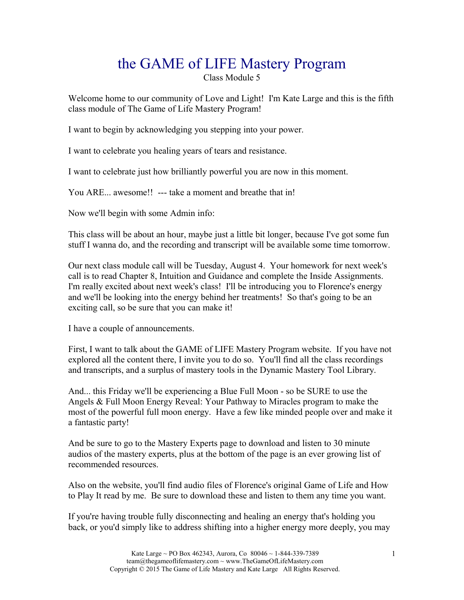# the GAME of LIFE Mastery Program

Class Module 5

Welcome home to our community of Love and Light! I'm Kate Large and this is the fifth class module of The Game of Life Mastery Program!

I want to begin by acknowledging you stepping into your power.

I want to celebrate you healing years of tears and resistance.

I want to celebrate just how brilliantly powerful you are now in this moment.

You ARE... awesome!! --- take a moment and breathe that in!

Now we'll begin with some Admin info:

This class will be about an hour, maybe just a little bit longer, because I've got some fun stuff I wanna do, and the recording and transcript will be available some time tomorrow.

Our next class module call will be Tuesday, August 4. Your homework for next week's call is to read Chapter 8, Intuition and Guidance and complete the Inside Assignments. I'm really excited about next week's class! I'll be introducing you to Florence's energy and we'll be looking into the energy behind her treatments! So that's going to be an exciting call, so be sure that you can make it!

I have a couple of announcements.

First, I want to talk about the GAME of LIFE Mastery Program website. If you have not explored all the content there, I invite you to do so. You'll find all the class recordings and transcripts, and a surplus of mastery tools in the Dynamic Mastery Tool Library.

And... this Friday we'll be experiencing a Blue Full Moon - so be SURE to use the Angels & Full Moon Energy Reveal: Your Pathway to Miracles program to make the most of the powerful full moon energy. Have a few like minded people over and make it a fantastic party!

And be sure to go to the Mastery Experts page to download and listen to 30 minute audios of the mastery experts, plus at the bottom of the page is an ever growing list of recommended resources.

Also on the website, you'll find audio files of Florence's original Game of Life and How to Play It read by me. Be sure to download these and listen to them any time you want.

If you're having trouble fully disconnecting and healing an energy that's holding you back, or you'd simply like to address shifting into a higher energy more deeply, you may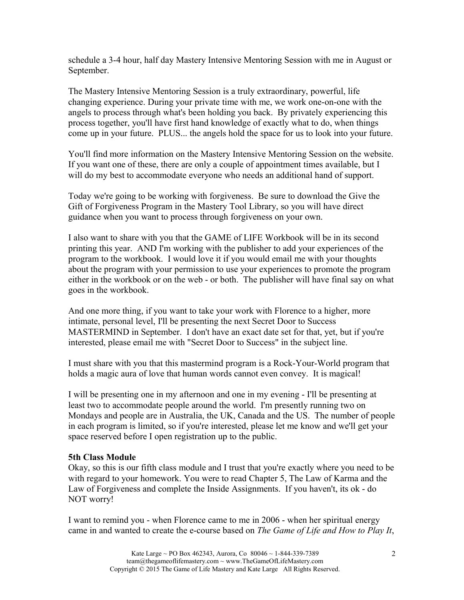schedule a 3-4 hour, half day Mastery Intensive Mentoring Session with me in August or September.

The Mastery Intensive Mentoring Session is a truly extraordinary, powerful, life changing experience. During your private time with me, we work one-on-one with the angels to process through what's been holding you back. By privately experiencing this process together, you'll have first hand knowledge of exactly what to do, when things come up in your future. PLUS... the angels hold the space for us to look into your future.

You'll find more information on the Mastery Intensive Mentoring Session on the website. If you want one of these, there are only a couple of appointment times available, but I will do my best to accommodate everyone who needs an additional hand of support.

Today we're going to be working with forgiveness. Be sure to download the Give the Gift of Forgiveness Program in the Mastery Tool Library, so you will have direct guidance when you want to process through forgiveness on your own.

I also want to share with you that the GAME of LIFE Workbook will be in its second printing this year. AND I'm working with the publisher to add your experiences of the program to the workbook. I would love it if you would email me with your thoughts about the program with your permission to use your experiences to promote the program either in the workbook or on the web - or both. The publisher will have final say on what goes in the workbook.

And one more thing, if you want to take your work with Florence to a higher, more intimate, personal level, I'll be presenting the next Secret Door to Success MASTERMIND in September. I don't have an exact date set for that, yet, but if you're interested, please email me with "Secret Door to Success" in the subject line.

I must share with you that this mastermind program is a Rock-Your-World program that holds a magic aura of love that human words cannot even convey. It is magical!

I will be presenting one in my afternoon and one in my evening - I'll be presenting at least two to accommodate people around the world. I'm presently running two on Mondays and people are in Australia, the UK, Canada and the US. The number of people in each program is limited, so if you're interested, please let me know and we'll get your space reserved before I open registration up to the public.

## **5th Class Module**

Okay, so this is our fifth class module and I trust that you're exactly where you need to be with regard to your homework. You were to read Chapter 5, The Law of Karma and the Law of Forgiveness and complete the Inside Assignments. If you haven't, its ok - do NOT worry!

I want to remind you - when Florence came to me in 2006 - when her spiritual energy came in and wanted to create the e-course based on *The Game of Life and How to Play It*,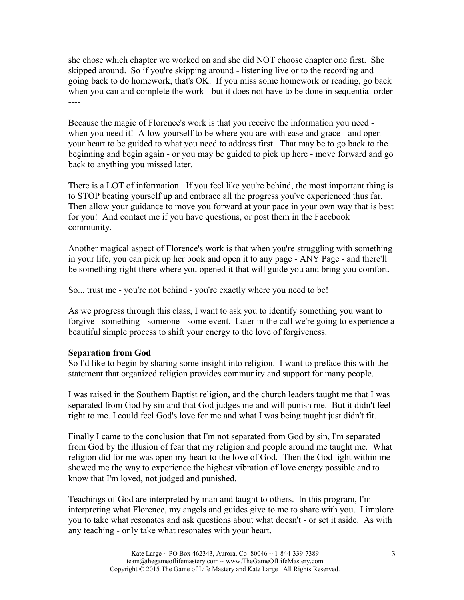she chose which chapter we worked on and she did NOT choose chapter one first. She skipped around. So if you're skipping around - listening live or to the recording and going back to do homework, that's OK. If you miss some homework or reading, go back when you can and complete the work - but it does not have to be done in sequential order ----

Because the magic of Florence's work is that you receive the information you need when you need it! Allow yourself to be where you are with ease and grace - and open your heart to be guided to what you need to address first. That may be to go back to the beginning and begin again - or you may be guided to pick up here - move forward and go back to anything you missed later.

There is a LOT of information. If you feel like you're behind, the most important thing is to STOP beating yourself up and embrace all the progress you've experienced thus far. Then allow your guidance to move you forward at your pace in your own way that is best for you! And contact me if you have questions, or post them in the Facebook community.

Another magical aspect of Florence's work is that when you're struggling with something in your life, you can pick up her book and open it to any page - ANY Page - and there'll be something right there where you opened it that will guide you and bring you comfort.

So... trust me - you're not behind - you're exactly where you need to be!

As we progress through this class, I want to ask you to identify something you want to forgive - something - someone - some event. Later in the call we're going to experience a beautiful simple process to shift your energy to the love of forgiveness.

## **Separation from God**

So I'd like to begin by sharing some insight into religion. I want to preface this with the statement that organized religion provides community and support for many people.

I was raised in the Southern Baptist religion, and the church leaders taught me that I was separated from God by sin and that God judges me and will punish me. But it didn't feel right to me. I could feel God's love for me and what I was being taught just didn't fit.

Finally I came to the conclusion that I'm not separated from God by sin, I'm separated from God by the illusion of fear that my religion and people around me taught me. What religion did for me was open my heart to the love of God. Then the God light within me showed me the way to experience the highest vibration of love energy possible and to know that I'm loved, not judged and punished.

Teachings of God are interpreted by man and taught to others. In this program, I'm interpreting what Florence, my angels and guides give to me to share with you. I implore you to take what resonates and ask questions about what doesn't - or set it aside. As with any teaching - only take what resonates with your heart.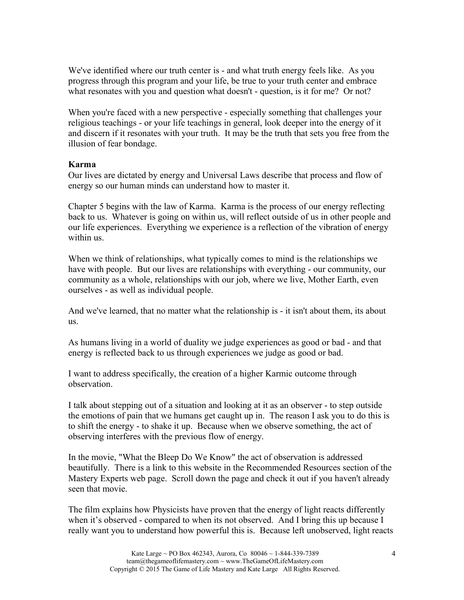We've identified where our truth center is - and what truth energy feels like. As you progress through this program and your life, be true to your truth center and embrace what resonates with you and question what doesn't - question, is it for me? Or not?

When you're faced with a new perspective - especially something that challenges your religious teachings - or your life teachings in general, look deeper into the energy of it and discern if it resonates with your truth. It may be the truth that sets you free from the illusion of fear bondage.

## **Karma**

Our lives are dictated by energy and Universal Laws describe that process and flow of energy so our human minds can understand how to master it.

Chapter 5 begins with the law of Karma. Karma is the process of our energy reflecting back to us. Whatever is going on within us, will reflect outside of us in other people and our life experiences. Everything we experience is a reflection of the vibration of energy within us.

When we think of relationships, what typically comes to mind is the relationships we have with people. But our lives are relationships with everything - our community, our community as a whole, relationships with our job, where we live, Mother Earth, even ourselves - as well as individual people.

And we've learned, that no matter what the relationship is - it isn't about them, its about us.

As humans living in a world of duality we judge experiences as good or bad - and that energy is reflected back to us through experiences we judge as good or bad.

I want to address specifically, the creation of a higher Karmic outcome through observation.

I talk about stepping out of a situation and looking at it as an observer - to step outside the emotions of pain that we humans get caught up in. The reason I ask you to do this is to shift the energy - to shake it up. Because when we observe something, the act of observing interferes with the previous flow of energy.

In the movie, "What the Bleep Do We Know" the act of observation is addressed beautifully. There is a link to this website in the Recommended Resources section of the Mastery Experts web page. Scroll down the page and check it out if you haven't already seen that movie.

The film explains how Physicists have proven that the energy of light reacts differently when it's observed - compared to when its not observed. And I bring this up because I really want you to understand how powerful this is. Because left unobserved, light reacts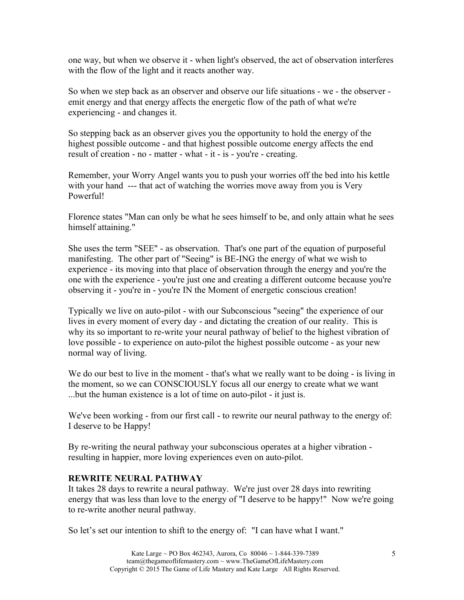one way, but when we observe it - when light's observed, the act of observation interferes with the flow of the light and it reacts another way.

So when we step back as an observer and observe our life situations - we - the observer emit energy and that energy affects the energetic flow of the path of what we're experiencing - and changes it.

So stepping back as an observer gives you the opportunity to hold the energy of the highest possible outcome - and that highest possible outcome energy affects the end result of creation - no - matter - what - it - is - you're - creating.

Remember, your Worry Angel wants you to push your worries off the bed into his kettle with your hand --- that act of watching the worries move away from you is Very Powerful!

Florence states "Man can only be what he sees himself to be, and only attain what he sees himself attaining."

She uses the term "SEE" - as observation. That's one part of the equation of purposeful manifesting. The other part of "Seeing" is BE-ING the energy of what we wish to experience - its moving into that place of observation through the energy and you're the one with the experience - you're just one and creating a different outcome because you're observing it - you're in - you're IN the Moment of energetic conscious creation!

Typically we live on auto-pilot - with our Subconscious "seeing" the experience of our lives in every moment of every day - and dictating the creation of our reality. This is why its so important to re-write your neural pathway of belief to the highest vibration of love possible - to experience on auto-pilot the highest possible outcome - as your new normal way of living.

We do our best to live in the moment - that's what we really want to be doing - is living in the moment, so we can CONSCIOUSLY focus all our energy to create what we want ...but the human existence is a lot of time on auto-pilot - it just is.

We've been working - from our first call - to rewrite our neural pathway to the energy of: I deserve to be Happy!

By re-writing the neural pathway your subconscious operates at a higher vibration resulting in happier, more loving experiences even on auto-pilot.

## **REWRITE NEURAL PATHWAY**

It takes 28 days to rewrite a neural pathway. We're just over 28 days into rewriting energy that was less than love to the energy of "I deserve to be happy!" Now we're going to re-write another neural pathway.

So let's set our intention to shift to the energy of: "I can have what I want."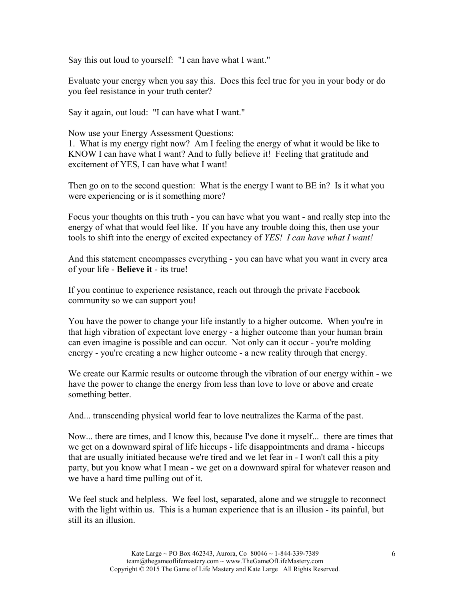Say this out loud to yourself: "I can have what I want."

Evaluate your energy when you say this. Does this feel true for you in your body or do you feel resistance in your truth center?

Say it again, out loud: "I can have what I want."

Now use your Energy Assessment Questions:

1. What is my energy right now? Am I feeling the energy of what it would be like to KNOW I can have what I want? And to fully believe it! Feeling that gratitude and excitement of YES, I can have what I want!

Then go on to the second question: What is the energy I want to BE in? Is it what you were experiencing or is it something more?

Focus your thoughts on this truth - you can have what you want - and really step into the energy of what that would feel like. If you have any trouble doing this, then use your tools to shift into the energy of excited expectancy of *YES! I can have what I want!*

And this statement encompasses everything - you can have what you want in every area of your life - **Believe it** - its true!

If you continue to experience resistance, reach out through the private Facebook community so we can support you!

You have the power to change your life instantly to a higher outcome. When you're in that high vibration of expectant love energy - a higher outcome than your human brain can even imagine is possible and can occur. Not only can it occur - you're molding energy - you're creating a new higher outcome - a new reality through that energy.

We create our Karmic results or outcome through the vibration of our energy within - we have the power to change the energy from less than love to love or above and create something better.

And... transcending physical world fear to love neutralizes the Karma of the past.

Now... there are times, and I know this, because I've done it myself... there are times that we get on a downward spiral of life hiccups - life disappointments and drama - hiccups that are usually initiated because we're tired and we let fear in - I won't call this a pity party, but you know what I mean - we get on a downward spiral for whatever reason and we have a hard time pulling out of it.

We feel stuck and helpless. We feel lost, separated, alone and we struggle to reconnect with the light within us. This is a human experience that is an illusion - its painful, but still its an illusion.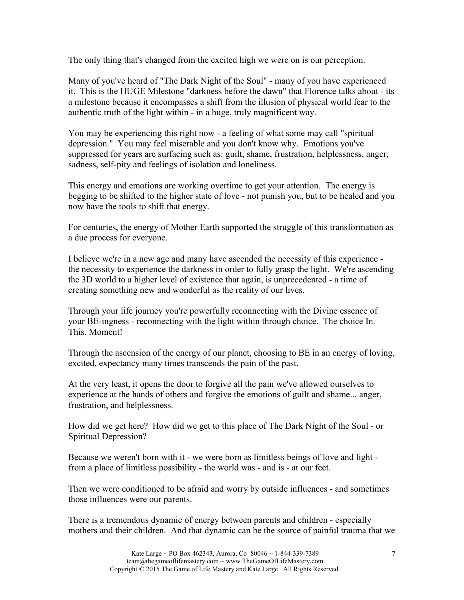The only thing that's changed from the excited high we were on is our perception.

Many of you've heard of "The Dark Night of the Soul" - many of you have experienced it. This is the HUGE Milestone "darkness before the dawn" that Florence talks about - its a milestone because it encompasses a shift from the illusion of physical world fear to the authentic truth of the light within - in a huge, truly magnificent way.

You may be experiencing this right now - a feeling of what some may call "spiritual depression." You may feel miserable and you don't know why. Emotions you've suppressed for years are surfacing such as: guilt, shame, frustration, helplessness, anger, sadness, self-pity and feelings of isolation and loneliness.

This energy and emotions are working overtime to get your attention. The energy is begging to be shifted to the higher state of love - not punish you, but to be healed and you now have the tools to shift that energy.

For centuries, the energy of Mother Earth supported the struggle of this transformation as a due process for everyone.

I believe we're in a new age and many have ascended the necessity of this experience the necessity to experience the darkness in order to fully grasp the light. We're ascending the 3D world to a higher level of existence that again, is unprecedented - a time of creating something new and wonderful as the reality of our lives.

Through your life journey you're powerfully reconnecting with the Divine essence of your BE-ingness - reconnecting with the light within through choice. The choice In. This. Moment!

Through the ascension of the energy of our planet, choosing to BE in an energy of loving, excited, expectancy many times transcends the pain of the past.

At the very least, it opens the door to forgive all the pain we've allowed ourselves to experience at the hands of others and forgive the emotions of guilt and shame... anger, frustration, and helplessness.

How did we get here? How did we get to this place of The Dark Night of the Soul - or Spiritual Depression?

Because we weren't born with it - we were born as limitless beings of love and light from a place of limitless possibility - the world was - and is - at our feet.

Then we were conditioned to be afraid and worry by outside influences - and sometimes those influences were our parents.

There is a tremendous dynamic of energy between parents and children - especially mothers and their children. And that dynamic can be the source of painful trauma that we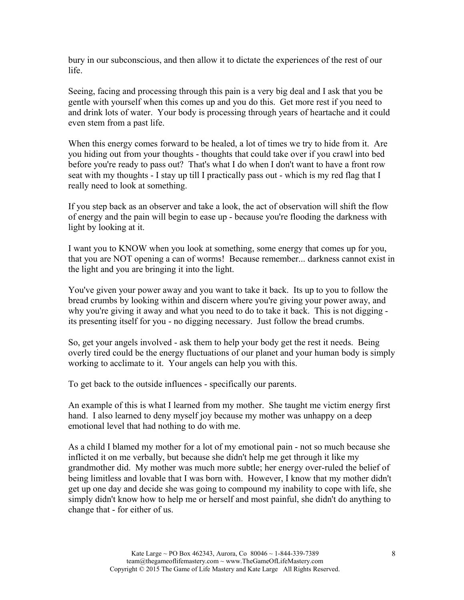bury in our subconscious, and then allow it to dictate the experiences of the rest of our life.

Seeing, facing and processing through this pain is a very big deal and I ask that you be gentle with yourself when this comes up and you do this. Get more rest if you need to and drink lots of water. Your body is processing through years of heartache and it could even stem from a past life.

When this energy comes forward to be healed, a lot of times we try to hide from it. Are you hiding out from your thoughts - thoughts that could take over if you crawl into bed before you're ready to pass out? That's what I do when I don't want to have a front row seat with my thoughts - I stay up till I practically pass out - which is my red flag that I really need to look at something.

If you step back as an observer and take a look, the act of observation will shift the flow of energy and the pain will begin to ease up - because you're flooding the darkness with light by looking at it.

I want you to KNOW when you look at something, some energy that comes up for you, that you are NOT opening a can of worms! Because remember... darkness cannot exist in the light and you are bringing it into the light.

You've given your power away and you want to take it back. Its up to you to follow the bread crumbs by looking within and discern where you're giving your power away, and why you're giving it away and what you need to do to take it back. This is not digging its presenting itself for you - no digging necessary. Just follow the bread crumbs.

So, get your angels involved - ask them to help your body get the rest it needs. Being overly tired could be the energy fluctuations of our planet and your human body is simply working to acclimate to it. Your angels can help you with this.

To get back to the outside influences - specifically our parents.

An example of this is what I learned from my mother. She taught me victim energy first hand. I also learned to deny myself joy because my mother was unhappy on a deep emotional level that had nothing to do with me.

As a child I blamed my mother for a lot of my emotional pain - not so much because she inflicted it on me verbally, but because she didn't help me get through it like my grandmother did. My mother was much more subtle; her energy over-ruled the belief of being limitless and lovable that I was born with. However, I know that my mother didn't get up one day and decide she was going to compound my inability to cope with life, she simply didn't know how to help me or herself and most painful, she didn't do anything to change that - for either of us.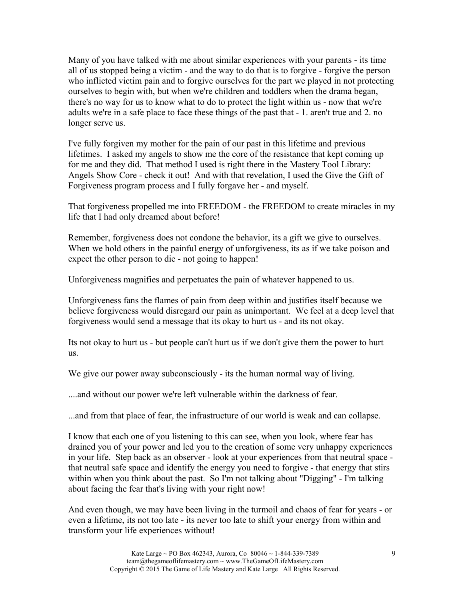Many of you have talked with me about similar experiences with your parents - its time all of us stopped being a victim - and the way to do that is to forgive - forgive the person who inflicted victim pain and to forgive ourselves for the part we played in not protecting ourselves to begin with, but when we're children and toddlers when the drama began, there's no way for us to know what to do to protect the light within us - now that we're adults we're in a safe place to face these things of the past that - 1. aren't true and 2. no longer serve us.

I've fully forgiven my mother for the pain of our past in this lifetime and previous lifetimes. I asked my angels to show me the core of the resistance that kept coming up for me and they did. That method I used is right there in the Mastery Tool Library: Angels Show Core - check it out! And with that revelation, I used the Give the Gift of Forgiveness program process and I fully forgave her - and myself.

That forgiveness propelled me into FREEDOM - the FREEDOM to create miracles in my life that I had only dreamed about before!

Remember, forgiveness does not condone the behavior, its a gift we give to ourselves. When we hold others in the painful energy of unforgiveness, its as if we take poison and expect the other person to die - not going to happen!

Unforgiveness magnifies and perpetuates the pain of whatever happened to us.

Unforgiveness fans the flames of pain from deep within and justifies itself because we believe forgiveness would disregard our pain as unimportant. We feel at a deep level that forgiveness would send a message that its okay to hurt us - and its not okay.

Its not okay to hurt us - but people can't hurt us if we don't give them the power to hurt us.

We give our power away subconsciously - its the human normal way of living.

....and without our power we're left vulnerable within the darkness of fear.

...and from that place of fear, the infrastructure of our world is weak and can collapse.

I know that each one of you listening to this can see, when you look, where fear has drained you of your power and led you to the creation of some very unhappy experiences in your life. Step back as an observer - look at your experiences from that neutral space that neutral safe space and identify the energy you need to forgive - that energy that stirs within when you think about the past. So I'm not talking about "Digging" - I'm talking about facing the fear that's living with your right now!

And even though, we may have been living in the turmoil and chaos of fear for years - or even a lifetime, its not too late - its never too late to shift your energy from within and transform your life experiences without!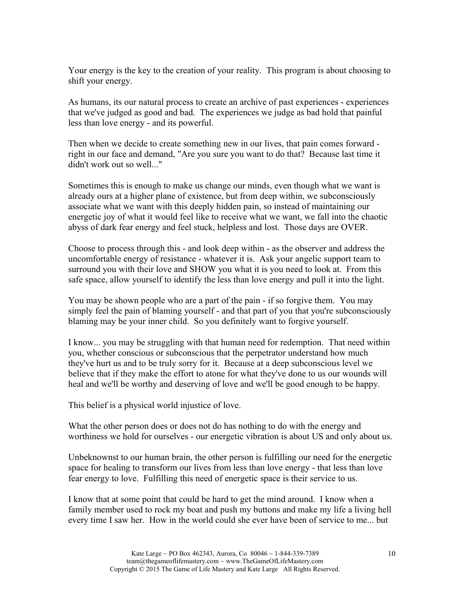Your energy is the key to the creation of your reality. This program is about choosing to shift your energy.

As humans, its our natural process to create an archive of past experiences - experiences that we've judged as good and bad. The experiences we judge as bad hold that painful less than love energy - and its powerful.

Then when we decide to create something new in our lives, that pain comes forward right in our face and demand, "Are you sure you want to do that? Because last time it didn't work out so well..."

Sometimes this is enough to make us change our minds, even though what we want is already ours at a higher plane of existence, but from deep within, we subconsciously associate what we want with this deeply hidden pain, so instead of maintaining our energetic joy of what it would feel like to receive what we want, we fall into the chaotic abyss of dark fear energy and feel stuck, helpless and lost. Those days are OVER.

Choose to process through this - and look deep within - as the observer and address the uncomfortable energy of resistance - whatever it is. Ask your angelic support team to surround you with their love and SHOW you what it is you need to look at. From this safe space, allow yourself to identify the less than love energy and pull it into the light.

You may be shown people who are a part of the pain - if so forgive them. You may simply feel the pain of blaming yourself - and that part of you that you're subconsciously blaming may be your inner child. So you definitely want to forgive yourself.

I know... you may be struggling with that human need for redemption. That need within you, whether conscious or subconscious that the perpetrator understand how much they've hurt us and to be truly sorry for it. Because at a deep subconscious level we believe that if they make the effort to atone for what they've done to us our wounds will heal and we'll be worthy and deserving of love and we'll be good enough to be happy.

This belief is a physical world injustice of love.

What the other person does or does not do has nothing to do with the energy and worthiness we hold for ourselves - our energetic vibration is about US and only about us.

Unbeknownst to our human brain, the other person is fulfilling our need for the energetic space for healing to transform our lives from less than love energy - that less than love fear energy to love. Fulfilling this need of energetic space is their service to us.

I know that at some point that could be hard to get the mind around. I know when a family member used to rock my boat and push my buttons and make my life a living hell every time I saw her. How in the world could she ever have been of service to me... but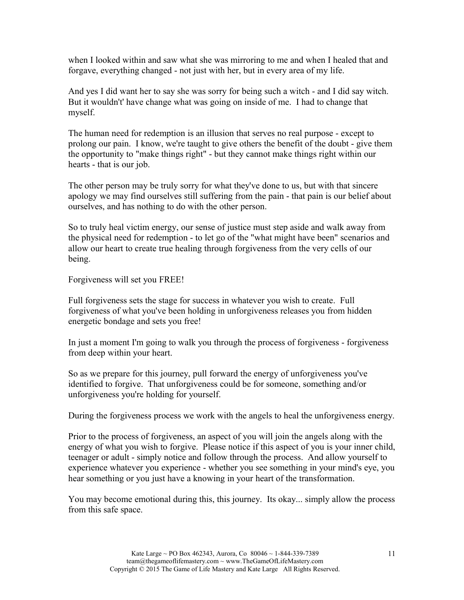when I looked within and saw what she was mirroring to me and when I healed that and forgave, everything changed - not just with her, but in every area of my life.

And yes I did want her to say she was sorry for being such a witch - and I did say witch. But it wouldn't' have change what was going on inside of me. I had to change that myself.

The human need for redemption is an illusion that serves no real purpose - except to prolong our pain. I know, we're taught to give others the benefit of the doubt - give them the opportunity to "make things right" - but they cannot make things right within our hearts - that is our job.

The other person may be truly sorry for what they've done to us, but with that sincere apology we may find ourselves still suffering from the pain - that pain is our belief about ourselves, and has nothing to do with the other person.

So to truly heal victim energy, our sense of justice must step aside and walk away from the physical need for redemption - to let go of the "what might have been" scenarios and allow our heart to create true healing through forgiveness from the very cells of our being.

Forgiveness will set you FREE!

Full forgiveness sets the stage for success in whatever you wish to create. Full forgiveness of what you've been holding in unforgiveness releases you from hidden energetic bondage and sets you free!

In just a moment I'm going to walk you through the process of forgiveness - forgiveness from deep within your heart.

So as we prepare for this journey, pull forward the energy of unforgiveness you've identified to forgive. That unforgiveness could be for someone, something and/or unforgiveness you're holding for yourself.

During the forgiveness process we work with the angels to heal the unforgiveness energy.

Prior to the process of forgiveness, an aspect of you will join the angels along with the energy of what you wish to forgive. Please notice if this aspect of you is your inner child, teenager or adult - simply notice and follow through the process. And allow yourself to experience whatever you experience - whether you see something in your mind's eye, you hear something or you just have a knowing in your heart of the transformation.

You may become emotional during this, this journey. Its okay... simply allow the process from this safe space.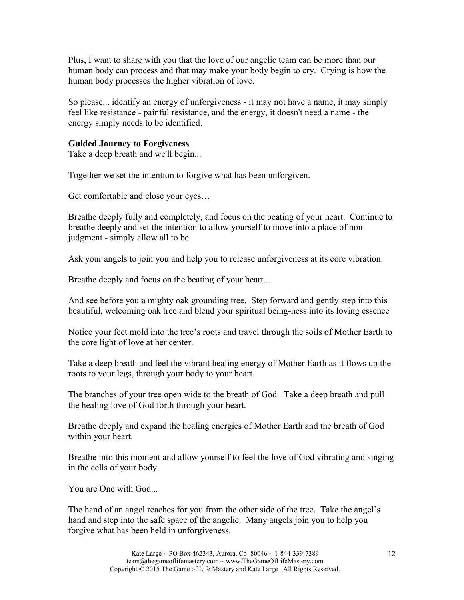Plus, I want to share with you that the love of our angelic team can be more than our human body can process and that may make your body begin to cry. Crying is how the human body processes the higher vibration of love.

So please... identify an energy of unforgiveness - it may not have a name, it may simply feel like resistance - painful resistance, and the energy, it doesn't need a name - the energy simply needs to be identified.

## **Guided Journey to Forgiveness**

Take a deep breath and we'll begin...

Together we set the intention to forgive what has been unforgiven.

Get comfortable and close your eyes…

Breathe deeply fully and completely, and focus on the beating of your heart. Continue to breathe deeply and set the intention to allow yourself to move into a place of nonjudgment - simply allow all to be.

Ask your angels to join you and help you to release unforgiveness at its core vibration.

Breathe deeply and focus on the beating of your heart...

And see before you a mighty oak grounding tree. Step forward and gently step into this beautiful, welcoming oak tree and blend your spiritual being-ness into its loving essence

Notice your feet mold into the tree's roots and travel through the soils of Mother Earth to the core light of love at her center.

Take a deep breath and feel the vibrant healing energy of Mother Earth as it flows up the roots to your legs, through your body to your heart.

The branches of your tree open wide to the breath of God. Take a deep breath and pull the healing love of God forth through your heart.

Breathe deeply and expand the healing energies of Mother Earth and the breath of God within your heart.

Breathe into this moment and allow yourself to feel the love of God vibrating and singing in the cells of your body.

You are One with God...

The hand of an angel reaches for you from the other side of the tree. Take the angel's hand and step into the safe space of the angelic. Many angels join you to help you forgive what has been held in unforgiveness.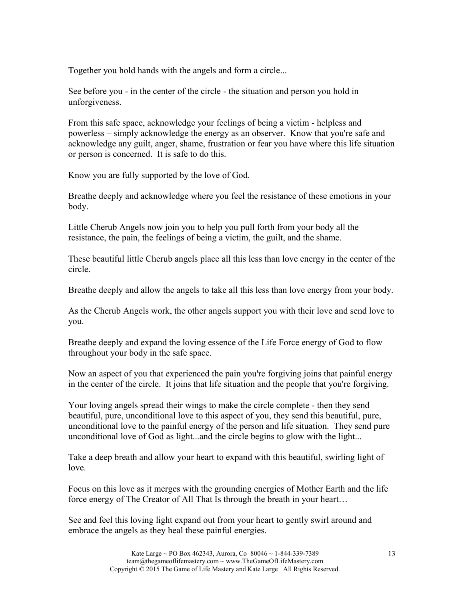Together you hold hands with the angels and form a circle...

See before you - in the center of the circle - the situation and person you hold in unforgiveness.

From this safe space, acknowledge your feelings of being a victim - helpless and powerless – simply acknowledge the energy as an observer. Know that you're safe and acknowledge any guilt, anger, shame, frustration or fear you have where this life situation or person is concerned. It is safe to do this.

Know you are fully supported by the love of God.

Breathe deeply and acknowledge where you feel the resistance of these emotions in your body.

Little Cherub Angels now join you to help you pull forth from your body all the resistance, the pain, the feelings of being a victim, the guilt, and the shame.

These beautiful little Cherub angels place all this less than love energy in the center of the circle.

Breathe deeply and allow the angels to take all this less than love energy from your body.

As the Cherub Angels work, the other angels support you with their love and send love to you.

Breathe deeply and expand the loving essence of the Life Force energy of God to flow throughout your body in the safe space.

Now an aspect of you that experienced the pain you're forgiving joins that painful energy in the center of the circle. It joins that life situation and the people that you're forgiving.

Your loving angels spread their wings to make the circle complete - then they send beautiful, pure, unconditional love to this aspect of you, they send this beautiful, pure, unconditional love to the painful energy of the person and life situation. They send pure unconditional love of God as light...and the circle begins to glow with the light...

Take a deep breath and allow your heart to expand with this beautiful, swirling light of love.

Focus on this love as it merges with the grounding energies of Mother Earth and the life force energy of The Creator of All That Is through the breath in your heart…

See and feel this loving light expand out from your heart to gently swirl around and embrace the angels as they heal these painful energies.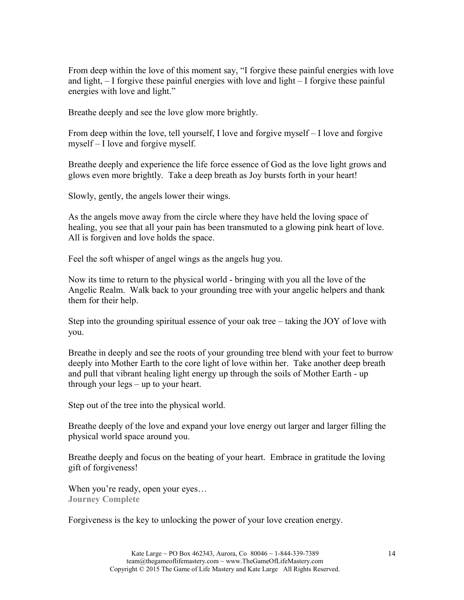From deep within the love of this moment say, "I forgive these painful energies with love and light, – I forgive these painful energies with love and light – I forgive these painful energies with love and light."

Breathe deeply and see the love glow more brightly.

From deep within the love, tell yourself, I love and forgive myself – I love and forgive myself – I love and forgive myself.

Breathe deeply and experience the life force essence of God as the love light grows and glows even more brightly. Take a deep breath as Joy bursts forth in your heart!

Slowly, gently, the angels lower their wings.

As the angels move away from the circle where they have held the loving space of healing, you see that all your pain has been transmuted to a glowing pink heart of love. All is forgiven and love holds the space.

Feel the soft whisper of angel wings as the angels hug you.

Now its time to return to the physical world - bringing with you all the love of the Angelic Realm. Walk back to your grounding tree with your angelic helpers and thank them for their help.

Step into the grounding spiritual essence of your oak tree – taking the JOY of love with you.

Breathe in deeply and see the roots of your grounding tree blend with your feet to burrow deeply into Mother Earth to the core light of love within her. Take another deep breath and pull that vibrant healing light energy up through the soils of Mother Earth - up through your legs – up to your heart.

Step out of the tree into the physical world.

Breathe deeply of the love and expand your love energy out larger and larger filling the physical world space around you.

Breathe deeply and focus on the beating of your heart. Embrace in gratitude the loving gift of forgiveness!

When you're ready, open your eyes... **Journey Complete**

Forgiveness is the key to unlocking the power of your love creation energy.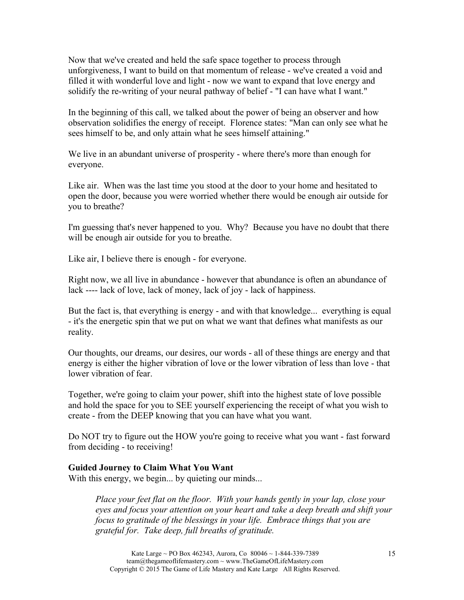Now that we've created and held the safe space together to process through unforgiveness, I want to build on that momentum of release - we've created a void and filled it with wonderful love and light - now we want to expand that love energy and solidify the re-writing of your neural pathway of belief - "I can have what I want."

In the beginning of this call, we talked about the power of being an observer and how observation solidifies the energy of receipt. Florence states: "Man can only see what he sees himself to be, and only attain what he sees himself attaining."

We live in an abundant universe of prosperity - where there's more than enough for everyone.

Like air. When was the last time you stood at the door to your home and hesitated to open the door, because you were worried whether there would be enough air outside for you to breathe?

I'm guessing that's never happened to you. Why? Because you have no doubt that there will be enough air outside for you to breathe.

Like air, I believe there is enough - for everyone.

Right now, we all live in abundance - however that abundance is often an abundance of lack ---- lack of love, lack of money, lack of joy - lack of happiness.

But the fact is, that everything is energy - and with that knowledge... everything is equal - it's the energetic spin that we put on what we want that defines what manifests as our reality.

Our thoughts, our dreams, our desires, our words - all of these things are energy and that energy is either the higher vibration of love or the lower vibration of less than love - that lower vibration of fear.

Together, we're going to claim your power, shift into the highest state of love possible and hold the space for you to SEE yourself experiencing the receipt of what you wish to create - from the DEEP knowing that you can have what you want.

Do NOT try to figure out the HOW you're going to receive what you want - fast forward from deciding - to receiving!

## **Guided Journey to Claim What You Want**

With this energy, we begin... by quieting our minds...

*Place your feet flat on the floor. With your hands gently in your lap, close your eyes and focus your attention on your heart and take a deep breath and shift your focus to gratitude of the blessings in your life. Embrace things that you are grateful for. Take deep, full breaths of gratitude.*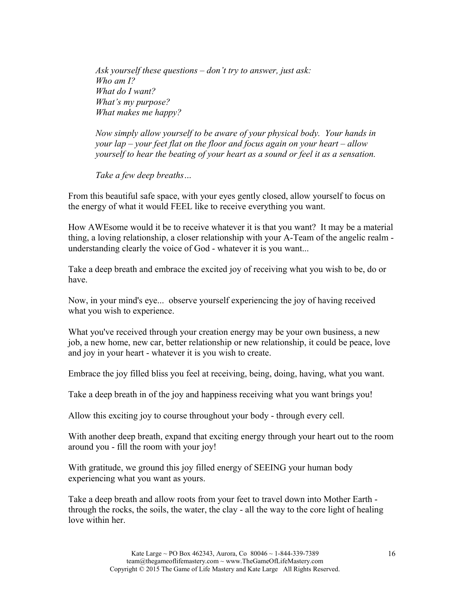*Ask yourself these questions – don't try to answer, just ask: Who am I? What do I want? What's my purpose? What makes me happy?*

*Now simply allow yourself to be aware of your physical body. Your hands in your lap – your feet flat on the floor and focus again on your heart – allow yourself to hear the beating of your heart as a sound or feel it as a sensation.*

*Take a few deep breaths…*

From this beautiful safe space, with your eyes gently closed, allow yourself to focus on the energy of what it would FEEL like to receive everything you want.

How AWEsome would it be to receive whatever it is that you want? It may be a material thing, a loving relationship, a closer relationship with your A-Team of the angelic realm understanding clearly the voice of God - whatever it is you want...

Take a deep breath and embrace the excited joy of receiving what you wish to be, do or have.

Now, in your mind's eye... observe yourself experiencing the joy of having received what you wish to experience.

What you've received through your creation energy may be your own business, a new job, a new home, new car, better relationship or new relationship, it could be peace, love and joy in your heart - whatever it is you wish to create.

Embrace the joy filled bliss you feel at receiving, being, doing, having, what you want.

Take a deep breath in of the joy and happiness receiving what you want brings you!

Allow this exciting joy to course throughout your body - through every cell.

With another deep breath, expand that exciting energy through your heart out to the room around you - fill the room with your joy!

With gratitude, we ground this joy filled energy of SEEING your human body experiencing what you want as yours.

Take a deep breath and allow roots from your feet to travel down into Mother Earth through the rocks, the soils, the water, the clay - all the way to the core light of healing love within her.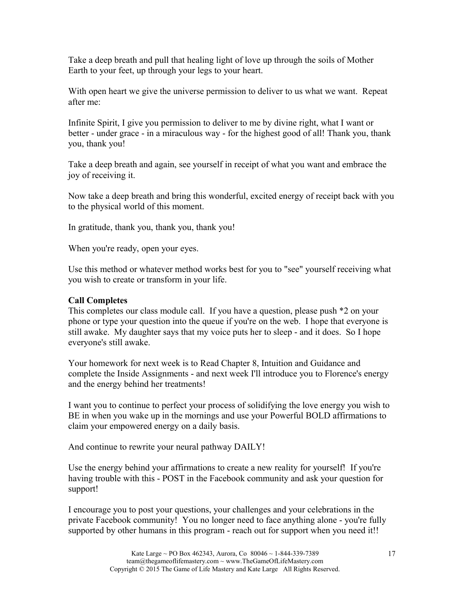Take a deep breath and pull that healing light of love up through the soils of Mother Earth to your feet, up through your legs to your heart.

With open heart we give the universe permission to deliver to us what we want. Repeat after me:

Infinite Spirit, I give you permission to deliver to me by divine right, what I want or better - under grace - in a miraculous way - for the highest good of all! Thank you, thank you, thank you!

Take a deep breath and again, see yourself in receipt of what you want and embrace the joy of receiving it.

Now take a deep breath and bring this wonderful, excited energy of receipt back with you to the physical world of this moment.

In gratitude, thank you, thank you, thank you!

When you're ready, open your eyes.

Use this method or whatever method works best for you to "see" yourself receiving what you wish to create or transform in your life.

## **Call Completes**

This completes our class module call. If you have a question, please push \*2 on your phone or type your question into the queue if you're on the web. I hope that everyone is still awake. My daughter says that my voice puts her to sleep - and it does. So I hope everyone's still awake.

Your homework for next week is to Read Chapter 8, Intuition and Guidance and complete the Inside Assignments - and next week I'll introduce you to Florence's energy and the energy behind her treatments!

I want you to continue to perfect your process of solidifying the love energy you wish to BE in when you wake up in the mornings and use your Powerful BOLD affirmations to claim your empowered energy on a daily basis.

And continue to rewrite your neural pathway DAILY!

Use the energy behind your affirmations to create a new reality for yourself! If you're having trouble with this - POST in the Facebook community and ask your question for support!

I encourage you to post your questions, your challenges and your celebrations in the private Facebook community! You no longer need to face anything alone - you're fully supported by other humans in this program - reach out for support when you need it!!